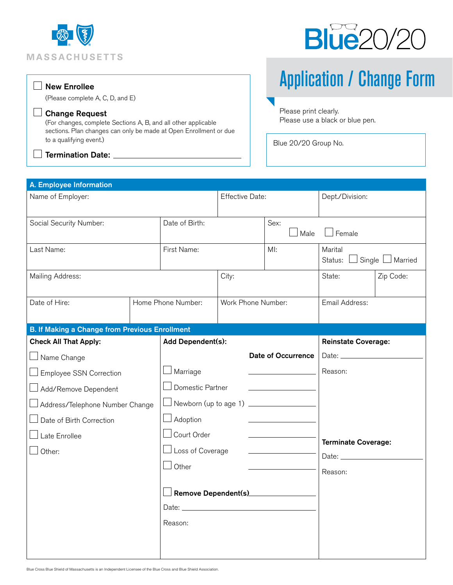



## $\Box$  New Enrollee

(Please complete A, C, D, and E)

## Change Request

(For changes, complete Sections A, B, and all other applicable sections. Plan changes can only be made at Open Enrollment or due to a qualifying event.)

 $\lrcorner$  Termination Date:  $\_$ 

 $\overline{\phantom{a}}$ 

Application / Change Form

Please print clearly. Please use a black or blue pen.

Blue 20/20 Group No.

| A. Employee Information                               |                    |                                         |                        |                            |                                                    |  |  |  |  |  |
|-------------------------------------------------------|--------------------|-----------------------------------------|------------------------|----------------------------|----------------------------------------------------|--|--|--|--|--|
| Name of Employer:                                     |                    |                                         | <b>Effective Date:</b> |                            | Dept./Division:                                    |  |  |  |  |  |
| Social Security Number:                               |                    | Date of Birth:                          |                        | Sex:<br>Male               | $\Box$ Female                                      |  |  |  |  |  |
| Last Name:                                            |                    | First Name:                             |                        | $M!$ :                     | Marital<br>$\Box$ Single $\Box$ Married<br>Status: |  |  |  |  |  |
| Mailing Address:                                      | City:              |                                         |                        | State:                     | Zip Code:                                          |  |  |  |  |  |
| Date of Hire:                                         | Home Phone Number: |                                         | Work Phone Number:     |                            | Email Address:                                     |  |  |  |  |  |
| <b>B. If Making a Change from Previous Enrollment</b> |                    |                                         |                        |                            |                                                    |  |  |  |  |  |
| <b>Check All That Apply:</b>                          | Add Dependent(s):  |                                         |                        | <b>Reinstate Coverage:</b> |                                                    |  |  |  |  |  |
| $\Box$ Name Change                                    |                    | <b>Date of Occurrence</b>               |                        |                            |                                                    |  |  |  |  |  |
| <b>Employee SSN Correction</b>                        |                    | $\Box$ Marriage                         |                        |                            | Reason:                                            |  |  |  |  |  |
| Add/Remove Dependent                                  |                    | Domestic Partner                        |                        |                            |                                                    |  |  |  |  |  |
| Address/Telephone Number Change                       |                    | □ Newborn (up to age 1) _______________ |                        |                            |                                                    |  |  |  |  |  |
| Date of Birth Correction                              |                    | $\Box$ Adoption                         |                        |                            |                                                    |  |  |  |  |  |
| Late Enrollee                                         |                    | Court Order                             |                        |                            |                                                    |  |  |  |  |  |
| Other:                                                |                    | $\perp$ Loss of Coverage                |                        | <b>Terminate Coverage:</b> |                                                    |  |  |  |  |  |
|                                                       |                    | $\Box$ Other                            |                        |                            |                                                    |  |  |  |  |  |
|                                                       |                    |                                         |                        | Reason:                    |                                                    |  |  |  |  |  |
|                                                       |                    | $\Box$ Remove Dependent(s)____________  |                        |                            |                                                    |  |  |  |  |  |
|                                                       |                    |                                         |                        |                            |                                                    |  |  |  |  |  |
|                                                       |                    | Reason:                                 |                        |                            |                                                    |  |  |  |  |  |
|                                                       |                    |                                         |                        |                            |                                                    |  |  |  |  |  |
|                                                       |                    |                                         |                        |                            |                                                    |  |  |  |  |  |

Blue Cross Blue Shield of Massachusetts is an Independent Licensee of the Blue Cross and Blue Shield Association.